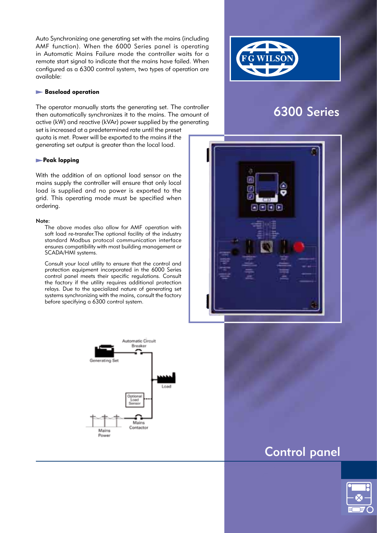Auto Synchronizing one generating set with the mains (including AMF function). When the 6000 Series panel is operating in Automatic Mains Failure mode the controller waits for a remote start signal to indicate that the mains have failed. When configured as a 6300 control system, two types of operation are available:

#### **Baseload operation**

The operator manually starts the generating set. The controller then automatically synchronizes it to the mains. The amount of active (kW) and reactive (kVAr) power supplied by the generating set is increased at a predetermined rate until the preset quota is met. Power will be exported to the mains if the generating set output is greater than the local load.

## **Peak lopping**

With the addition of an optional load sensor on the mains supply the controller will ensure that only local load is supplied and no power is exported to the grid. This operating mode must be specified when ordering.

#### Note:

 The above modes also allow for AMF operation with soft load re-transfer.The optional facility of the industry standard Modbus protocol communication interface ensures compatibility with most building management or SCADA/HMI systems.

 Consult your local utility to ensure that the control and protection equipment incorporated in the 6000 Series control panel meets their specific regulations. Consult the factory if the utility requires additional protection relays. Due to the specialized nature of generating set systems synchronizing with the mains, consult the factory before specifying a 6300 control system.



# 6300 Series





# Control panel